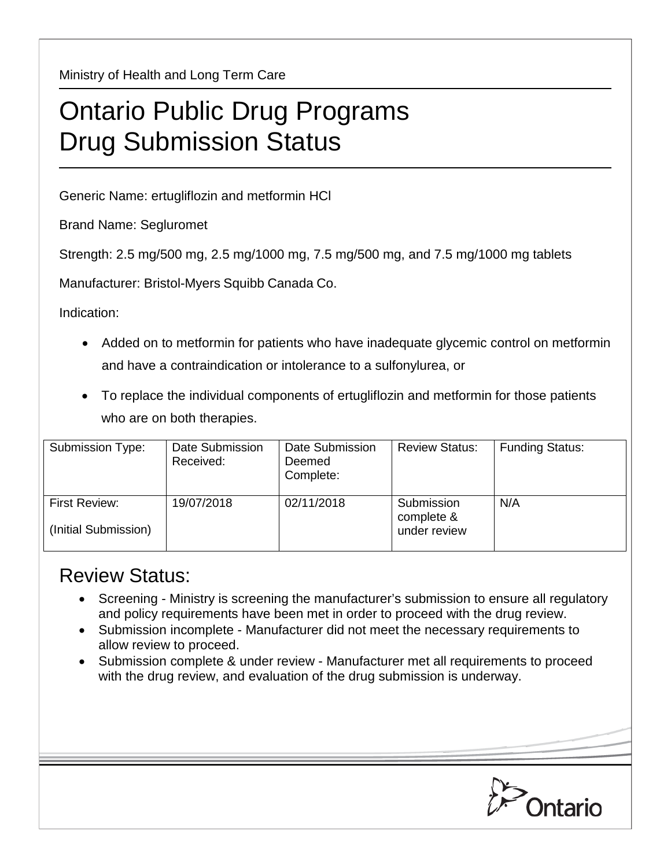Ministry of Health and Long Term Care

## Ontario Public Drug Programs Drug Submission Status

Generic Name: ertugliflozin and metformin HCl

Brand Name: Segluromet

Strength: 2.5 mg/500 mg, 2.5 mg/1000 mg, 7.5 mg/500 mg, and 7.5 mg/1000 mg tablets

Manufacturer: Bristol-Myers Squibb Canada Co.

Indication:

- Added on to metformin for patients who have inadequate glycemic control on metformin and have a contraindication or intolerance to a sulfonylurea, or
- To replace the individual components of ertugliflozin and metformin for those patients who are on both therapies.

| Submission Type:                      | Date Submission<br>Received: | Date Submission<br>Deemed<br>Complete: | <b>Review Status:</b>                    | <b>Funding Status:</b> |
|---------------------------------------|------------------------------|----------------------------------------|------------------------------------------|------------------------|
| First Review:<br>(Initial Submission) | 19/07/2018                   | 02/11/2018                             | Submission<br>complete &<br>under review | N/A                    |

## Review Status:

- Screening Ministry is screening the manufacturer's submission to ensure all regulatory and policy requirements have been met in order to proceed with the drug review.
- Submission incomplete Manufacturer did not meet the necessary requirements to allow review to proceed.
- Submission complete & under review Manufacturer met all requirements to proceed with the drug review, and evaluation of the drug submission is underway.